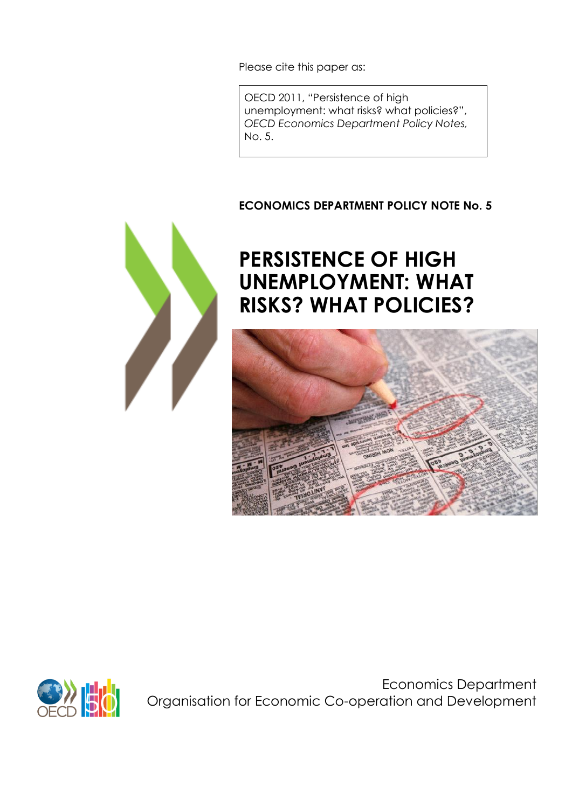Please cite this paper as:

OECD 2011, "Persistence of high unemployment: what risks? what policies?", *OECD Economics Department Policy Notes,* No. 5.

### **ECONOMICS DEPARTMENT POLICY NOTE No. 5**



# **PERSISTENCE OF HIGH UNEMPLOYMENT: WHAT RISKS? WHAT POLICIES?**





Economics Department Organisation for Economic Co-operation and Development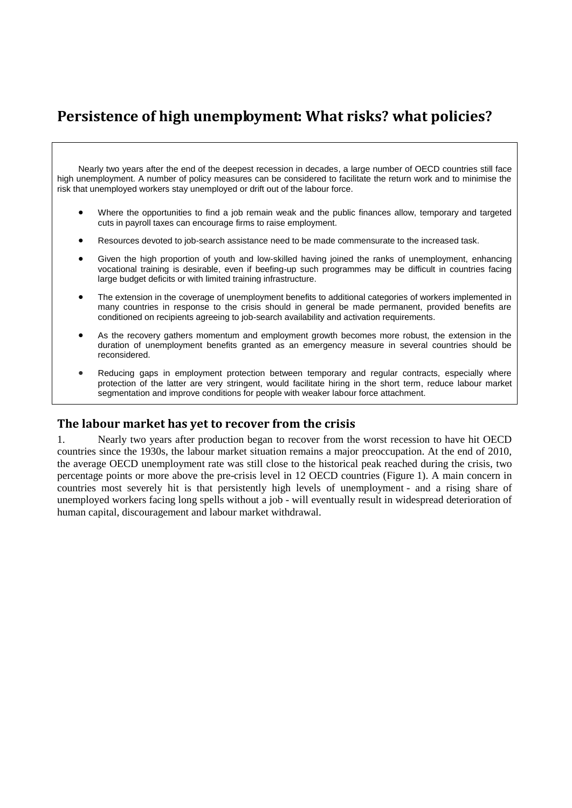# **Persistence of high unemployment: What risks? what policies?**

Nearly two years after the end of the deepest recession in decades, a large number of OECD countries still face high unemployment. A number of policy measures can be considered to facilitate the return work and to minimise the risk that unemployed workers stay unemployed or drift out of the labour force.

- Where the opportunities to find a job remain weak and the public finances allow, temporary and targeted cuts in payroll taxes can encourage firms to raise employment.
- Resources devoted to job-search assistance need to be made commensurate to the increased task.
- Given the high proportion of youth and low-skilled having joined the ranks of unemployment, enhancing vocational training is desirable, even if beefing-up such programmes may be difficult in countries facing large budget deficits or with limited training infrastructure.
- The extension in the coverage of unemployment benefits to additional categories of workers implemented in many countries in response to the crisis should in general be made permanent, provided benefits are conditioned on recipients agreeing to job-search availability and activation requirements.
- As the recovery gathers momentum and employment growth becomes more robust, the extension in the duration of unemployment benefits granted as an emergency measure in several countries should be reconsidered.
- Reducing gaps in employment protection between temporary and regular contracts, especially where protection of the latter are very stringent, would facilitate hiring in the short term, reduce labour market segmentation and improve conditions for people with weaker labour force attachment.

#### **The labour market has yet to recover from the crisis**

1. Nearly two years after production began to recover from the worst recession to have hit OECD countries since the 1930s, the labour market situation remains a major preoccupation. At the end of 2010, the average OECD unemployment rate was still close to the historical peak reached during the crisis, two percentage points or more above the pre-crisis level in 12 OECD countries (Figure 1). A main concern in countries most severely hit is that persistently high levels of unemployment - and a rising share of unemployed workers facing long spells without a job - will eventually result in widespread deterioration of human capital, discouragement and labour market withdrawal.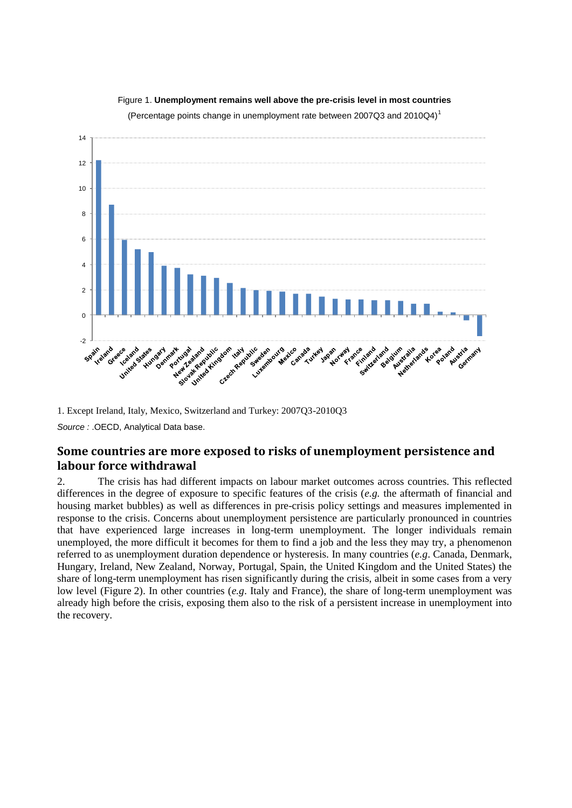

Figure 1. **Unemployment remains well above the pre-crisis level in most countries**

(Percentage points change in unemployment rate between 2007Q3 and 2010Q4)<sup>1</sup>

1. Except Ireland, Italy, Mexico, Switzerland and Turkey: 2007Q3-2010Q3

*Source :* .OECD, Analytical Data base.

#### **Some countries are more exposed to risks of unemployment persistence and labour force withdrawal**

2. The crisis has had different impacts on labour market outcomes across countries. This reflected differences in the degree of exposure to specific features of the crisis (*e.g.* the aftermath of financial and housing market bubbles) as well as differences in pre-crisis policy settings and measures implemented in response to the crisis. Concerns about unemployment persistence are particularly pronounced in countries that have experienced large increases in long-term unemployment. The longer individuals remain unemployed, the more difficult it becomes for them to find a job and the less they may try, a phenomenon referred to as unemployment duration dependence or hysteresis. In many countries (*e.g*. Canada, Denmark, Hungary, Ireland, New Zealand, Norway, Portugal, Spain, the United Kingdom and the United States) the share of long-term unemployment has risen significantly during the crisis, albeit in some cases from a very low level (Figure 2). In other countries (*e.g*. Italy and France), the share of long-term unemployment was already high before the crisis, exposing them also to the risk of a persistent increase in unemployment into the recovery.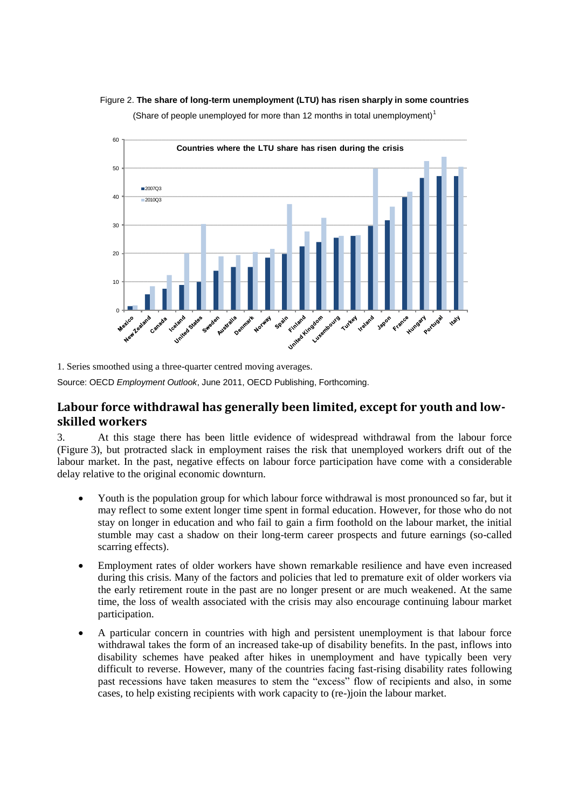



1. Series smoothed using a three-quarter centred moving averages.

Source: OECD *Employment Outlook*, June 2011, OECD Publishing, Forthcoming.

#### **Labour force withdrawal has generally been limited, except for youth and lowskilled workers**

3. At this stage there has been little evidence of widespread withdrawal from the labour force (Figure 3), but protracted slack in employment raises the risk that unemployed workers drift out of the labour market. In the past, negative effects on labour force participation have come with a considerable delay relative to the original economic downturn.

- Youth is the population group for which labour force withdrawal is most pronounced so far, but it may reflect to some extent longer time spent in formal education. However, for those who do not stay on longer in education and who fail to gain a firm foothold on the labour market, the initial stumble may cast a shadow on their long-term career prospects and future earnings (so-called scarring effects).
- Employment rates of older workers have shown remarkable resilience and have even increased during this crisis. Many of the factors and policies that led to premature exit of older workers via the early retirement route in the past are no longer present or are much weakened. At the same time, the loss of wealth associated with the crisis may also encourage continuing labour market participation.
- A particular concern in countries with high and persistent unemployment is that labour force withdrawal takes the form of an increased take-up of disability benefits. In the past, inflows into disability schemes have peaked after hikes in unemployment and have typically been very difficult to reverse. However, many of the countries facing fast-rising disability rates following past recessions have taken measures to stem the "excess" flow of recipients and also, in some cases, to help existing recipients with work capacity to (re-)join the labour market.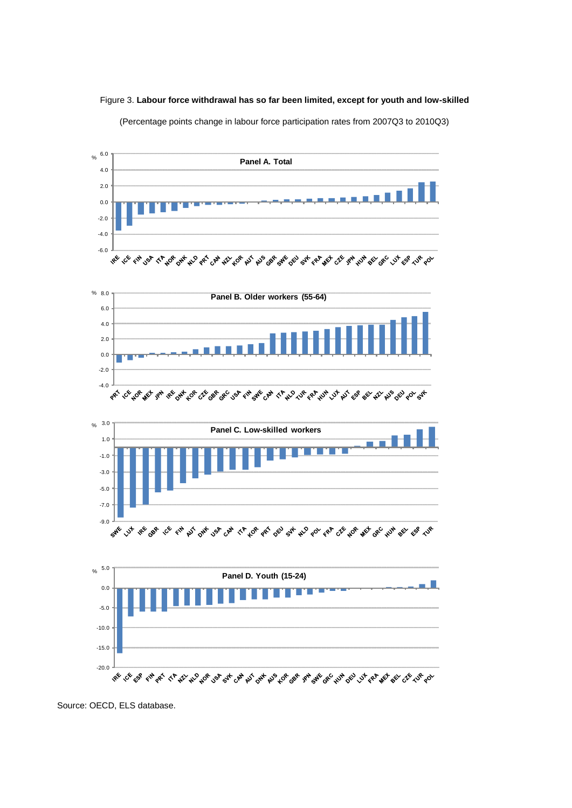

(Percentage points change in labour force participation rates from 2007Q3 to 2010Q3)



Source: OECD, ELS database.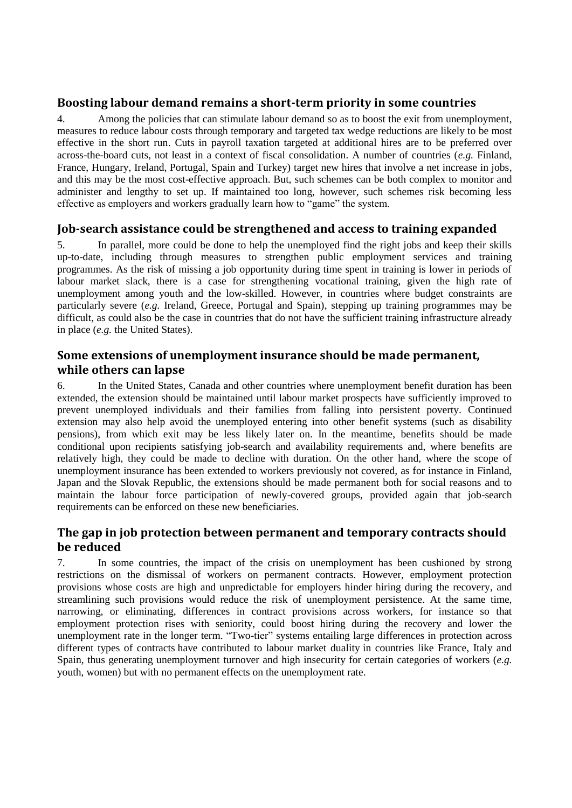#### **Boosting labour demand remains a short-term priority in some countries**

4. Among the policies that can stimulate labour demand so as to boost the exit from unemployment, measures to reduce labour costs through temporary and targeted tax wedge reductions are likely to be most effective in the short run. Cuts in payroll taxation targeted at additional hires are to be preferred over across-the-board cuts, not least in a context of fiscal consolidation. A number of countries (*e.g.* Finland, France, Hungary, Ireland, Portugal, Spain and Turkey) target new hires that involve a net increase in jobs, and this may be the most cost-effective approach. But, such schemes can be both complex to monitor and administer and lengthy to set up. If maintained too long, however, such schemes risk becoming less effective as employers and workers gradually learn how to "game" the system.

#### **Job-search assistance could be strengthened and access to training expanded**

5. In parallel, more could be done to help the unemployed find the right jobs and keep their skills up-to-date, including through measures to strengthen public employment services and training programmes. As the risk of missing a job opportunity during time spent in training is lower in periods of labour market slack, there is a case for strengthening vocational training, given the high rate of unemployment among youth and the low-skilled. However, in countries where budget constraints are particularly severe (*e.g.* Ireland, Greece, Portugal and Spain), stepping up training programmes may be difficult, as could also be the case in countries that do not have the sufficient training infrastructure already in place (*e.g.* the United States).

#### **Some extensions of unemployment insurance should be made permanent, while others can lapse**

6. In the United States, Canada and other countries where unemployment benefit duration has been extended, the extension should be maintained until labour market prospects have sufficiently improved to prevent unemployed individuals and their families from falling into persistent poverty. Continued extension may also help avoid the unemployed entering into other benefit systems (such as disability pensions), from which exit may be less likely later on. In the meantime, benefits should be made conditional upon recipients satisfying job-search and availability requirements and, where benefits are relatively high, they could be made to decline with duration. On the other hand, where the scope of unemployment insurance has been extended to workers previously not covered, as for instance in Finland, Japan and the Slovak Republic, the extensions should be made permanent both for social reasons and to maintain the labour force participation of newly-covered groups, provided again that job-search requirements can be enforced on these new beneficiaries.

#### **The gap in job protection between permanent and temporary contracts should be reduced**

7. In some countries, the impact of the crisis on unemployment has been cushioned by strong restrictions on the dismissal of workers on permanent contracts. However, employment protection provisions whose costs are high and unpredictable for employers hinder hiring during the recovery, and streamlining such provisions would reduce the risk of unemployment persistence. At the same time, narrowing, or eliminating, differences in contract provisions across workers, for instance so that employment protection rises with seniority, could boost hiring during the recovery and lower the unemployment rate in the longer term. "Two-tier" systems entailing large differences in protection across different types of contracts have contributed to labour market duality in countries like France, Italy and Spain, thus generating unemployment turnover and high insecurity for certain categories of workers (*e.g.*  youth, women) but with no permanent effects on the unemployment rate.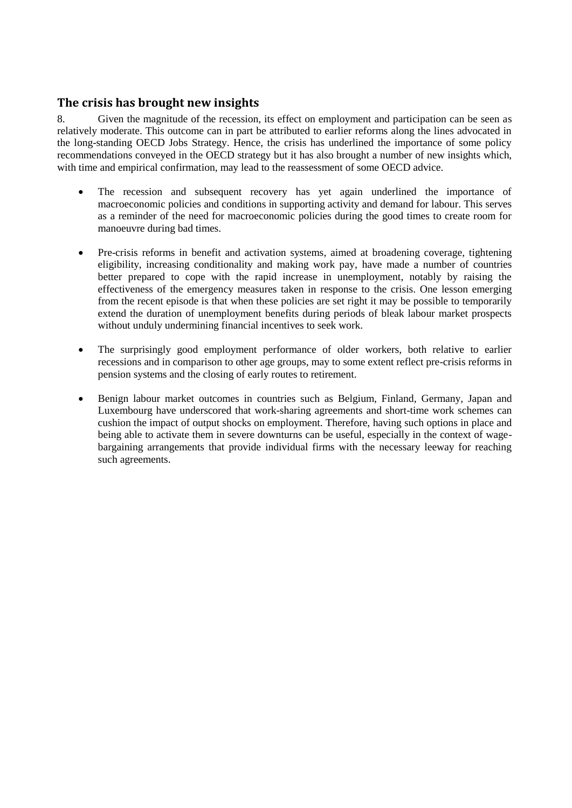#### **The crisis has brought new insights**

8. Given the magnitude of the recession, its effect on employment and participation can be seen as relatively moderate. This outcome can in part be attributed to earlier reforms along the lines advocated in the long-standing OECD Jobs Strategy. Hence, the crisis has underlined the importance of some policy recommendations conveyed in the OECD strategy but it has also brought a number of new insights which, with time and empirical confirmation, may lead to the reassessment of some OECD advice.

- The recession and subsequent recovery has yet again underlined the importance of macroeconomic policies and conditions in supporting activity and demand for labour. This serves as a reminder of the need for macroeconomic policies during the good times to create room for manoeuvre during bad times.
- Pre-crisis reforms in benefit and activation systems, aimed at broadening coverage, tightening eligibility, increasing conditionality and making work pay, have made a number of countries better prepared to cope with the rapid increase in unemployment, notably by raising the effectiveness of the emergency measures taken in response to the crisis. One lesson emerging from the recent episode is that when these policies are set right it may be possible to temporarily extend the duration of unemployment benefits during periods of bleak labour market prospects without unduly undermining financial incentives to seek work.
- The surprisingly good employment performance of older workers, both relative to earlier recessions and in comparison to other age groups, may to some extent reflect pre-crisis reforms in pension systems and the closing of early routes to retirement.
- Benign labour market outcomes in countries such as Belgium, Finland, Germany, Japan and Luxembourg have underscored that work-sharing agreements and short-time work schemes can cushion the impact of output shocks on employment. Therefore, having such options in place and being able to activate them in severe downturns can be useful, especially in the context of wagebargaining arrangements that provide individual firms with the necessary leeway for reaching such agreements.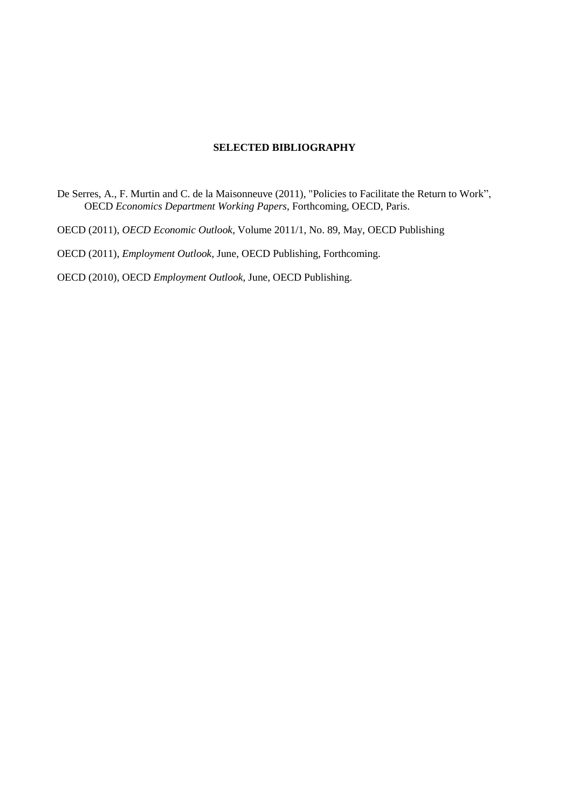#### **SELECTED BIBLIOGRAPHY**

De Serres, A., F. Murtin and C. de la Maisonneuve (2011), "Policies to Facilitate the Return to Work", OECD *Economics Department Working Papers*, Forthcoming, OECD, Paris.

OECD (2011), *OECD Economic Outlook*, Volume 2011/1, No. 89, May, OECD Publishing

OECD (2011), *Employment Outlook*, June, OECD Publishing, Forthcoming.

OECD (2010), OECD *Employment Outlook*, June, OECD Publishing.